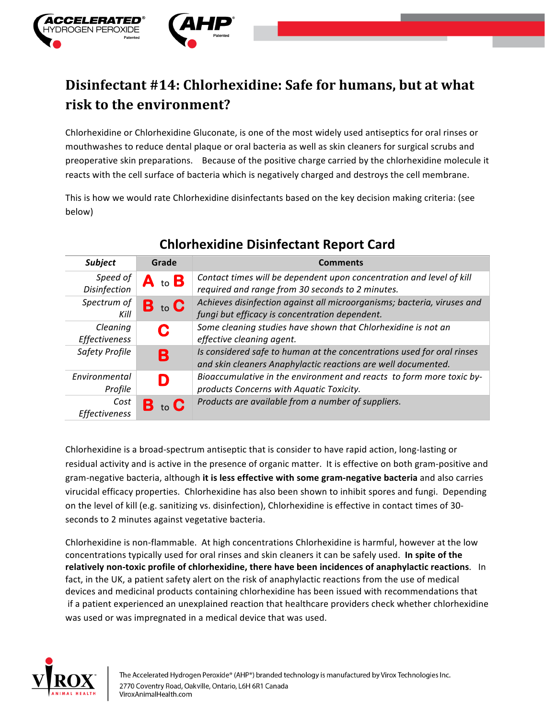

## Disinfectant #14: Chlorhexidine: Safe for humans, but at what **risk to the environment?**

Chlorhexidine or Chlorhexidine Gluconate, is one of the most widely used antiseptics for oral rinses or mouthwashes to reduce dental plaque or oral bacteria as well as skin cleaners for surgical scrubs and preoperative skin preparations. Because of the positive charge carried by the chlorhexidine molecule it reacts with the cell surface of bacteria which is negatively charged and destroys the cell membrane.

This is how we would rate Chlorhexidine disinfectants based on the key decision making criteria: (see below)

| <b>Subject</b>        | Grade                | <b>Comments</b>                                                         |
|-----------------------|----------------------|-------------------------------------------------------------------------|
| Speed of              | to $\mathbf B$<br>A. | Contact times will be dependent upon concentration and level of kill    |
| Disinfection          |                      | required and range from 30 seconds to 2 minutes.                        |
| Spectrum of           | В<br>to $\mathbf C$  | Achieves disinfection against all microorganisms; bacteria, viruses and |
| Kill                  |                      | fungi but efficacy is concentration dependent.                          |
| Cleaning              | C                    | Some cleaning studies have shown that Chlorhexidine is not an           |
| Effectiveness         |                      | effective cleaning agent.                                               |
| <b>Safety Profile</b> | B                    | Is considered safe to human at the concentrations used for oral rinses  |
|                       |                      | and skin cleaners Anaphylactic reactions are well documented.           |
| Environmental         |                      | Bioaccumulative in the environment and reacts to form more toxic by-    |
| Profile               |                      | products Concerns with Aquatic Toxicity.                                |
| Cost                  | to $\mathbf C$       | Products are available from a number of suppliers.                      |
| Effectiveness         |                      |                                                                         |

## **Chlorhexidine Disinfectant Report Card**

Chlorhexidine is a broad-spectrum antiseptic that is consider to have rapid action, long-lasting or residual activity and is active in the presence of organic matter. It is effective on both gram-positive and gram-negative bacteria, although it is less effective with some gram-negative bacteria and also carries virucidal efficacy properties. Chlorhexidine has also been shown to inhibit spores and fungi. Depending on the level of kill (e.g. sanitizing vs. disinfection), Chlorhexidine is effective in contact times of 30seconds to 2 minutes against vegetative bacteria.

Chlorhexidine is non-flammable. At high concentrations Chlorhexidine is harmful, however at the low concentrations typically used for oral rinses and skin cleaners it can be safely used. In spite of the **relatively non-toxic profile of chlorhexidine, there have been incidences of anaphylactic reactions.** In fact, in the UK, a patient safety alert on the risk of anaphylactic reactions from the use of medical devices and medicinal products containing chlorhexidine has been issued with recommendations that if a patient experienced an unexplained reaction that healthcare providers check whether chlorhexidine was used or was impregnated in a medical device that was used.